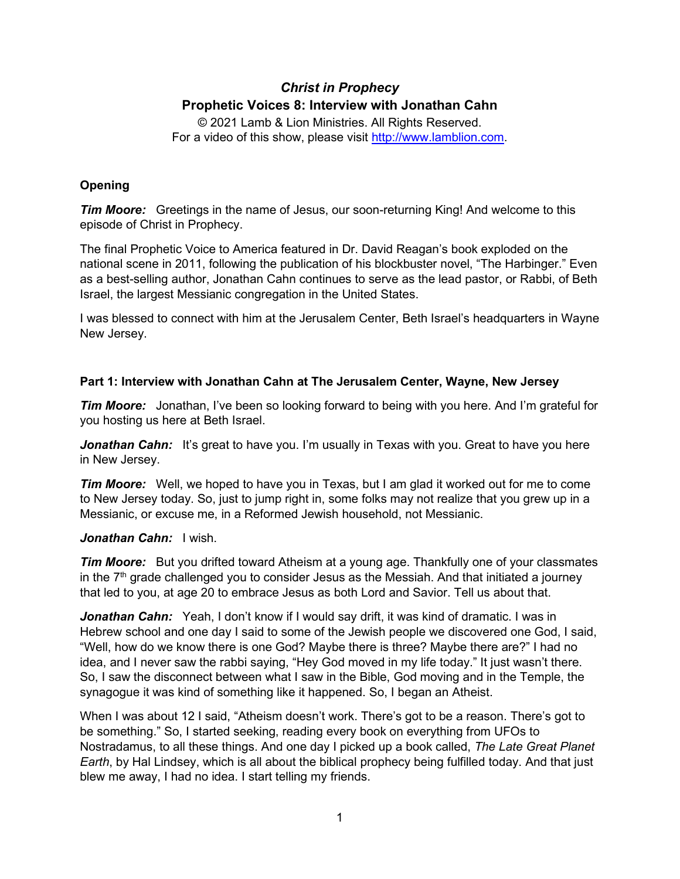# *Christ in Prophecy* **Prophetic Voices 8: Interview with Jonathan Cahn**

© 2021 Lamb & Lion Ministries. All Rights Reserved. For a video of this show, please visit [http://www.lamblion.com.](http://www.lamblion.com/)

## **Opening**

*Tim Moore:* Greetings in the name of Jesus, our soon-returning King! And welcome to this episode of Christ in Prophecy.

The final Prophetic Voice to America featured in Dr. David Reagan's book exploded on the national scene in 2011, following the publication of his blockbuster novel, "The Harbinger." Even as a best-selling author, Jonathan Cahn continues to serve as the lead pastor, or Rabbi, of Beth Israel, the largest Messianic congregation in the United States.

I was blessed to connect with him at the Jerusalem Center, Beth Israel's headquarters in Wayne New Jersey.

## **Part 1: Interview with Jonathan Cahn at The Jerusalem Center, Wayne, New Jersey**

*Tim Moore:* Jonathan, I've been so looking forward to being with you here. And I'm grateful for you hosting us here at Beth Israel.

**Jonathan Cahn:** It's great to have you. I'm usually in Texas with you. Great to have you here in New Jersey.

*Tim Moore:* Well, we hoped to have you in Texas, but I am glad it worked out for me to come to New Jersey today. So, just to jump right in, some folks may not realize that you grew up in a Messianic, or excuse me, in a Reformed Jewish household, not Messianic.

## *Jonathan Cahn:* I wish.

*Tim Moore:* But you drifted toward Atheism at a young age. Thankfully one of your classmates in the  $7<sup>th</sup>$  grade challenged you to consider Jesus as the Messiah. And that initiated a journey that led to you, at age 20 to embrace Jesus as both Lord and Savior. Tell us about that.

Jonathan Cahn: Yeah, I don't know if I would say drift, it was kind of dramatic. I was in Hebrew school and one day I said to some of the Jewish people we discovered one God, I said, "Well, how do we know there is one God? Maybe there is three? Maybe there are?" I had no idea, and I never saw the rabbi saying, "Hey God moved in my life today." It just wasn't there. So, I saw the disconnect between what I saw in the Bible, God moving and in the Temple, the synagogue it was kind of something like it happened. So, I began an Atheist.

When I was about 12 I said, "Atheism doesn't work. There's got to be a reason. There's got to be something." So, I started seeking, reading every book on everything from UFOs to Nostradamus, to all these things. And one day I picked up a book called, *The Late Great Planet Earth*, by Hal Lindsey, which is all about the biblical prophecy being fulfilled today. And that just blew me away, I had no idea. I start telling my friends.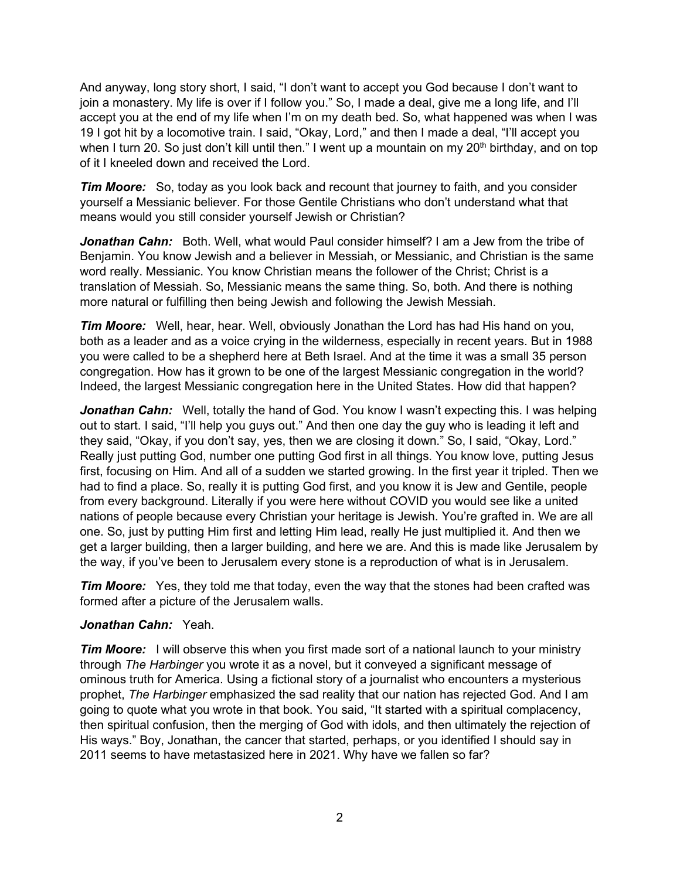And anyway, long story short, I said, "I don't want to accept you God because I don't want to join a monastery. My life is over if I follow you." So, I made a deal, give me a long life, and I'll accept you at the end of my life when I'm on my death bed. So, what happened was when I was 19 I got hit by a locomotive train. I said, "Okay, Lord," and then I made a deal, "I'll accept you when I turn 20. So just don't kill until then." I went up a mountain on my  $20<sup>th</sup>$  birthday, and on top of it I kneeled down and received the Lord.

*Tim Moore:* So, today as you look back and recount that journey to faith, and you consider yourself a Messianic believer. For those Gentile Christians who don't understand what that means would you still consider yourself Jewish or Christian?

*Jonathan Cahn:* Both. Well, what would Paul consider himself? I am a Jew from the tribe of Benjamin. You know Jewish and a believer in Messiah, or Messianic, and Christian is the same word really. Messianic. You know Christian means the follower of the Christ; Christ is a translation of Messiah. So, Messianic means the same thing. So, both. And there is nothing more natural or fulfilling then being Jewish and following the Jewish Messiah.

*Tim Moore:* Well, hear, hear. Well, obviously Jonathan the Lord has had His hand on you, both as a leader and as a voice crying in the wilderness, especially in recent years. But in 1988 you were called to be a shepherd here at Beth Israel. And at the time it was a small 35 person congregation. How has it grown to be one of the largest Messianic congregation in the world? Indeed, the largest Messianic congregation here in the United States. How did that happen?

*Jonathan Cahn:* Well, totally the hand of God. You know I wasn't expecting this. I was helping out to start. I said, "I'll help you guys out." And then one day the guy who is leading it left and they said, "Okay, if you don't say, yes, then we are closing it down." So, I said, "Okay, Lord." Really just putting God, number one putting God first in all things. You know love, putting Jesus first, focusing on Him. And all of a sudden we started growing. In the first year it tripled. Then we had to find a place. So, really it is putting God first, and you know it is Jew and Gentile, people from every background. Literally if you were here without COVID you would see like a united nations of people because every Christian your heritage is Jewish. You're grafted in. We are all one. So, just by putting Him first and letting Him lead, really He just multiplied it. And then we get a larger building, then a larger building, and here we are. And this is made like Jerusalem by the way, if you've been to Jerusalem every stone is a reproduction of what is in Jerusalem.

*Tim Moore:* Yes, they told me that today, even the way that the stones had been crafted was formed after a picture of the Jerusalem walls.

### *Jonathan Cahn:* Yeah.

*Tim Moore:* I will observe this when you first made sort of a national launch to your ministry through *The Harbinger* you wrote it as a novel, but it conveyed a significant message of ominous truth for America. Using a fictional story of a journalist who encounters a mysterious prophet, *The Harbinger* emphasized the sad reality that our nation has rejected God. And I am going to quote what you wrote in that book. You said, "It started with a spiritual complacency, then spiritual confusion, then the merging of God with idols, and then ultimately the rejection of His ways." Boy, Jonathan, the cancer that started, perhaps, or you identified I should say in 2011 seems to have metastasized here in 2021. Why have we fallen so far?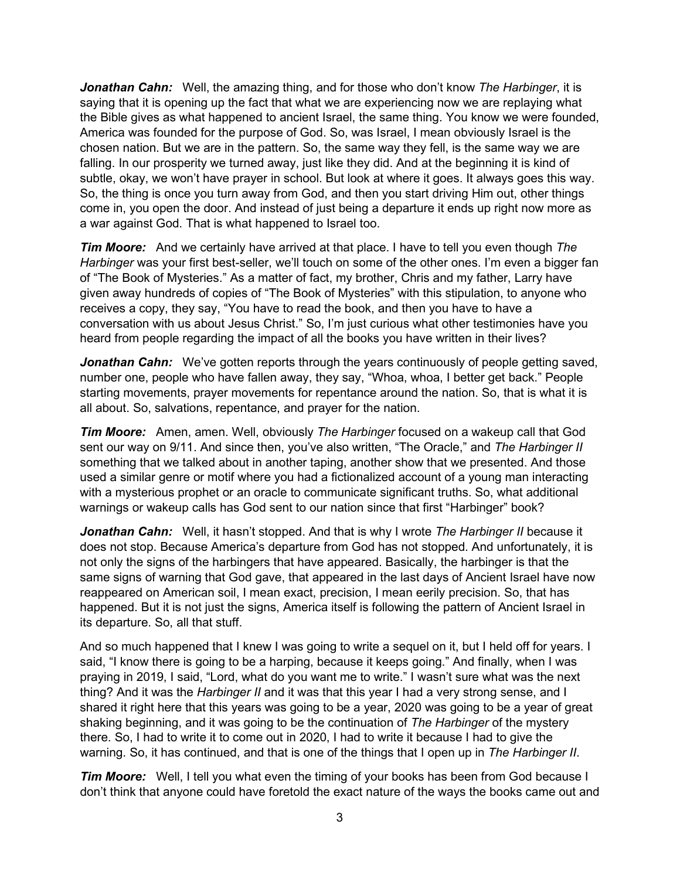*Jonathan Cahn:* Well, the amazing thing, and for those who don't know *The Harbinger*, it is saying that it is opening up the fact that what we are experiencing now we are replaying what the Bible gives as what happened to ancient Israel, the same thing. You know we were founded, America was founded for the purpose of God. So, was Israel, I mean obviously Israel is the chosen nation. But we are in the pattern. So, the same way they fell, is the same way we are falling. In our prosperity we turned away, just like they did. And at the beginning it is kind of subtle, okay, we won't have prayer in school. But look at where it goes. It always goes this way. So, the thing is once you turn away from God, and then you start driving Him out, other things come in, you open the door. And instead of just being a departure it ends up right now more as a war against God. That is what happened to Israel too.

*Tim Moore:* And we certainly have arrived at that place. I have to tell you even though *The Harbinger* was your first best-seller, we'll touch on some of the other ones. I'm even a bigger fan of "The Book of Mysteries." As a matter of fact, my brother, Chris and my father, Larry have given away hundreds of copies of "The Book of Mysteries" with this stipulation, to anyone who receives a copy, they say, "You have to read the book, and then you have to have a conversation with us about Jesus Christ." So, I'm just curious what other testimonies have you heard from people regarding the impact of all the books you have written in their lives?

**Jonathan Cahn:** We've gotten reports through the years continuously of people getting saved, number one, people who have fallen away, they say, "Whoa, whoa, I better get back." People starting movements, prayer movements for repentance around the nation. So, that is what it is all about. So, salvations, repentance, and prayer for the nation.

*Tim Moore:* Amen, amen. Well, obviously *The Harbinger* focused on a wakeup call that God sent our way on 9/11. And since then, you've also written, "The Oracle," and *The Harbinger II* something that we talked about in another taping, another show that we presented. And those used a similar genre or motif where you had a fictionalized account of a young man interacting with a mysterious prophet or an oracle to communicate significant truths. So, what additional warnings or wakeup calls has God sent to our nation since that first "Harbinger" book?

*Jonathan Cahn:* Well, it hasn't stopped. And that is why I wrote *The Harbinger II* because it does not stop. Because America's departure from God has not stopped. And unfortunately, it is not only the signs of the harbingers that have appeared. Basically, the harbinger is that the same signs of warning that God gave, that appeared in the last days of Ancient Israel have now reappeared on American soil, I mean exact, precision, I mean eerily precision. So, that has happened. But it is not just the signs, America itself is following the pattern of Ancient Israel in its departure. So, all that stuff.

And so much happened that I knew I was going to write a sequel on it, but I held off for years. I said, "I know there is going to be a harping, because it keeps going." And finally, when I was praying in 2019, I said, "Lord, what do you want me to write." I wasn't sure what was the next thing? And it was the *Harbinger II* and it was that this year I had a very strong sense, and I shared it right here that this years was going to be a year, 2020 was going to be a year of great shaking beginning, and it was going to be the continuation of *The Harbinger* of the mystery there. So, I had to write it to come out in 2020, I had to write it because I had to give the warning. So, it has continued, and that is one of the things that I open up in *The Harbinger II*.

*Tim Moore:* Well, I tell you what even the timing of your books has been from God because I don't think that anyone could have foretold the exact nature of the ways the books came out and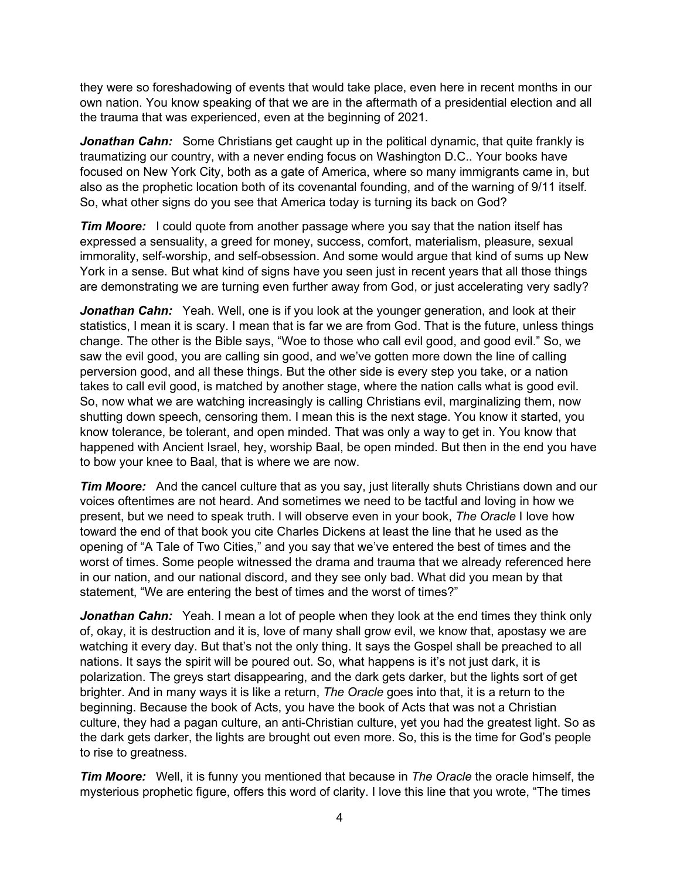they were so foreshadowing of events that would take place, even here in recent months in our own nation. You know speaking of that we are in the aftermath of a presidential election and all the trauma that was experienced, even at the beginning of 2021.

**Jonathan Cahn:** Some Christians get caught up in the political dynamic, that quite frankly is traumatizing our country, with a never ending focus on Washington D.C.. Your books have focused on New York City, both as a gate of America, where so many immigrants came in, but also as the prophetic location both of its covenantal founding, and of the warning of 9/11 itself. So, what other signs do you see that America today is turning its back on God?

*Tim Moore:* I could quote from another passage where you say that the nation itself has expressed a sensuality, a greed for money, success, comfort, materialism, pleasure, sexual immorality, self-worship, and self-obsession. And some would argue that kind of sums up New York in a sense. But what kind of signs have you seen just in recent years that all those things are demonstrating we are turning even further away from God, or just accelerating very sadly?

**Jonathan Cahn:** Yeah. Well, one is if you look at the younger generation, and look at their statistics, I mean it is scary. I mean that is far we are from God. That is the future, unless things change. The other is the Bible says, "Woe to those who call evil good, and good evil." So, we saw the evil good, you are calling sin good, and we've gotten more down the line of calling perversion good, and all these things. But the other side is every step you take, or a nation takes to call evil good, is matched by another stage, where the nation calls what is good evil. So, now what we are watching increasingly is calling Christians evil, marginalizing them, now shutting down speech, censoring them. I mean this is the next stage. You know it started, you know tolerance, be tolerant, and open minded. That was only a way to get in. You know that happened with Ancient Israel, hey, worship Baal, be open minded. But then in the end you have to bow your knee to Baal, that is where we are now.

*Tim Moore:* And the cancel culture that as you say, just literally shuts Christians down and our voices oftentimes are not heard. And sometimes we need to be tactful and loving in how we present, but we need to speak truth. I will observe even in your book, *The Oracle* I love how toward the end of that book you cite Charles Dickens at least the line that he used as the opening of "A Tale of Two Cities," and you say that we've entered the best of times and the worst of times. Some people witnessed the drama and trauma that we already referenced here in our nation, and our national discord, and they see only bad. What did you mean by that statement, "We are entering the best of times and the worst of times?"

**Jonathan Cahn:** Yeah. I mean a lot of people when they look at the end times they think only of, okay, it is destruction and it is, love of many shall grow evil, we know that, apostasy we are watching it every day. But that's not the only thing. It says the Gospel shall be preached to all nations. It says the spirit will be poured out. So, what happens is it's not just dark, it is polarization. The greys start disappearing, and the dark gets darker, but the lights sort of get brighter. And in many ways it is like a return, *The Oracle* goes into that, it is a return to the beginning. Because the book of Acts, you have the book of Acts that was not a Christian culture, they had a pagan culture, an anti-Christian culture, yet you had the greatest light. So as the dark gets darker, the lights are brought out even more. So, this is the time for God's people to rise to greatness.

*Tim Moore:* Well, it is funny you mentioned that because in *The Oracle* the oracle himself, the mysterious prophetic figure, offers this word of clarity. I love this line that you wrote, "The times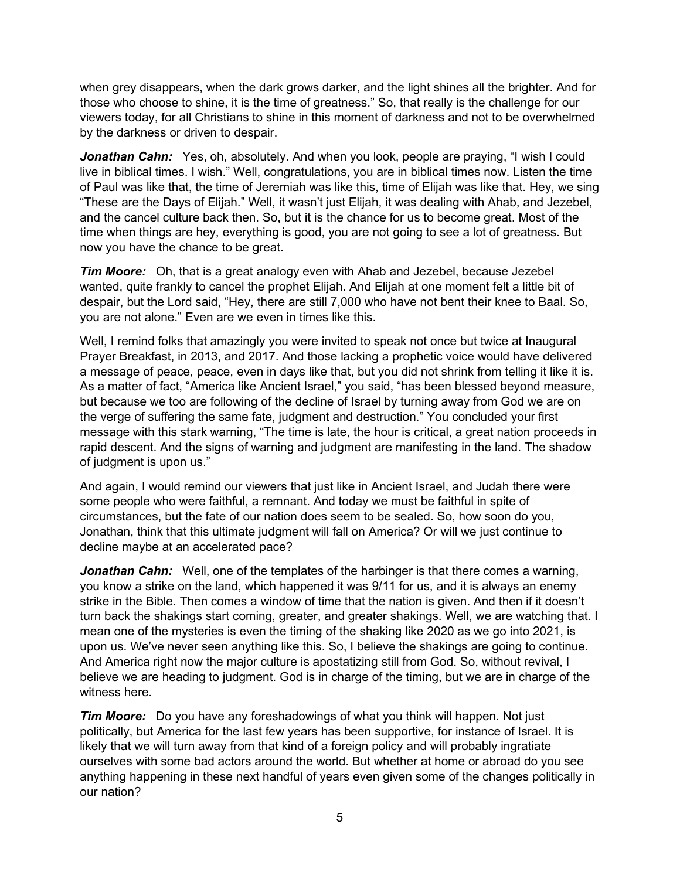when grey disappears, when the dark grows darker, and the light shines all the brighter. And for those who choose to shine, it is the time of greatness." So, that really is the challenge for our viewers today, for all Christians to shine in this moment of darkness and not to be overwhelmed by the darkness or driven to despair.

**Jonathan Cahn:** Yes, oh, absolutely. And when you look, people are praying, "I wish I could live in biblical times. I wish." Well, congratulations, you are in biblical times now. Listen the time of Paul was like that, the time of Jeremiah was like this, time of Elijah was like that. Hey, we sing "These are the Days of Elijah." Well, it wasn't just Elijah, it was dealing with Ahab, and Jezebel, and the cancel culture back then. So, but it is the chance for us to become great. Most of the time when things are hey, everything is good, you are not going to see a lot of greatness. But now you have the chance to be great.

*Tim Moore:* Oh, that is a great analogy even with Ahab and Jezebel, because Jezebel wanted, quite frankly to cancel the prophet Elijah. And Elijah at one moment felt a little bit of despair, but the Lord said, "Hey, there are still 7,000 who have not bent their knee to Baal. So, you are not alone." Even are we even in times like this.

Well, I remind folks that amazingly you were invited to speak not once but twice at Inaugural Prayer Breakfast, in 2013, and 2017. And those lacking a prophetic voice would have delivered a message of peace, peace, even in days like that, but you did not shrink from telling it like it is. As a matter of fact, "America like Ancient Israel," you said, "has been blessed beyond measure, but because we too are following of the decline of Israel by turning away from God we are on the verge of suffering the same fate, judgment and destruction." You concluded your first message with this stark warning, "The time is late, the hour is critical, a great nation proceeds in rapid descent. And the signs of warning and judgment are manifesting in the land. The shadow of judgment is upon us."

And again, I would remind our viewers that just like in Ancient Israel, and Judah there were some people who were faithful, a remnant. And today we must be faithful in spite of circumstances, but the fate of our nation does seem to be sealed. So, how soon do you, Jonathan, think that this ultimate judgment will fall on America? Or will we just continue to decline maybe at an accelerated pace?

*Jonathan Cahn:* Well, one of the templates of the harbinger is that there comes a warning, you know a strike on the land, which happened it was 9/11 for us, and it is always an enemy strike in the Bible. Then comes a window of time that the nation is given. And then if it doesn't turn back the shakings start coming, greater, and greater shakings. Well, we are watching that. I mean one of the mysteries is even the timing of the shaking like 2020 as we go into 2021, is upon us. We've never seen anything like this. So, I believe the shakings are going to continue. And America right now the major culture is apostatizing still from God. So, without revival, I believe we are heading to judgment. God is in charge of the timing, but we are in charge of the witness here.

*Tim Moore:* Do you have any foreshadowings of what you think will happen. Not just politically, but America for the last few years has been supportive, for instance of Israel. It is likely that we will turn away from that kind of a foreign policy and will probably ingratiate ourselves with some bad actors around the world. But whether at home or abroad do you see anything happening in these next handful of years even given some of the changes politically in our nation?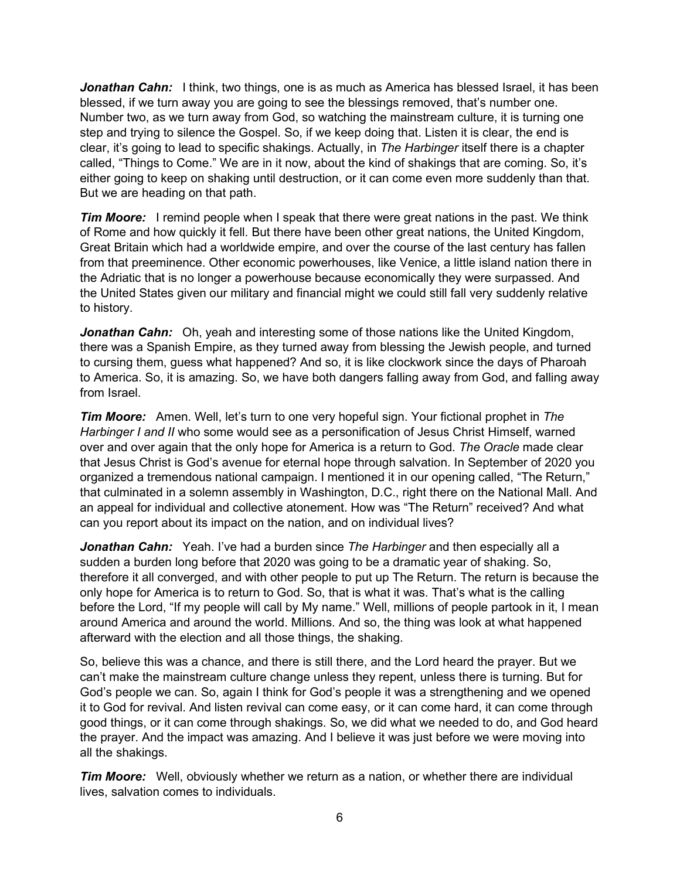*Jonathan Cahn:* I think, two things, one is as much as America has blessed Israel, it has been blessed, if we turn away you are going to see the blessings removed, that's number one. Number two, as we turn away from God, so watching the mainstream culture, it is turning one step and trying to silence the Gospel. So, if we keep doing that. Listen it is clear, the end is clear, it's going to lead to specific shakings. Actually, in *The Harbinger* itself there is a chapter called, "Things to Come." We are in it now, about the kind of shakings that are coming. So, it's either going to keep on shaking until destruction, or it can come even more suddenly than that. But we are heading on that path.

*Tim Moore:* I remind people when I speak that there were great nations in the past. We think of Rome and how quickly it fell. But there have been other great nations, the United Kingdom, Great Britain which had a worldwide empire, and over the course of the last century has fallen from that preeminence. Other economic powerhouses, like Venice, a little island nation there in the Adriatic that is no longer a powerhouse because economically they were surpassed. And the United States given our military and financial might we could still fall very suddenly relative to history.

*Jonathan Cahn:* Oh, yeah and interesting some of those nations like the United Kingdom, there was a Spanish Empire, as they turned away from blessing the Jewish people, and turned to cursing them, guess what happened? And so, it is like clockwork since the days of Pharoah to America. So, it is amazing. So, we have both dangers falling away from God, and falling away from Israel.

*Tim Moore:* Amen. Well, let's turn to one very hopeful sign. Your fictional prophet in *The Harbinger I and II* who some would see as a personification of Jesus Christ Himself, warned over and over again that the only hope for America is a return to God. *The Oracle* made clear that Jesus Christ is God's avenue for eternal hope through salvation. In September of 2020 you organized a tremendous national campaign. I mentioned it in our opening called, "The Return," that culminated in a solemn assembly in Washington, D.C., right there on the National Mall. And an appeal for individual and collective atonement. How was "The Return" received? And what can you report about its impact on the nation, and on individual lives?

*Jonathan Cahn:* Yeah. I've had a burden since *The Harbinger* and then especially all a sudden a burden long before that 2020 was going to be a dramatic year of shaking. So, therefore it all converged, and with other people to put up The Return. The return is because the only hope for America is to return to God. So, that is what it was. That's what is the calling before the Lord, "If my people will call by My name." Well, millions of people partook in it, I mean around America and around the world. Millions. And so, the thing was look at what happened afterward with the election and all those things, the shaking.

So, believe this was a chance, and there is still there, and the Lord heard the prayer. But we can't make the mainstream culture change unless they repent, unless there is turning. But for God's people we can. So, again I think for God's people it was a strengthening and we opened it to God for revival. And listen revival can come easy, or it can come hard, it can come through good things, or it can come through shakings. So, we did what we needed to do, and God heard the prayer. And the impact was amazing. And I believe it was just before we were moving into all the shakings.

*Tim Moore:* Well, obviously whether we return as a nation, or whether there are individual lives, salvation comes to individuals.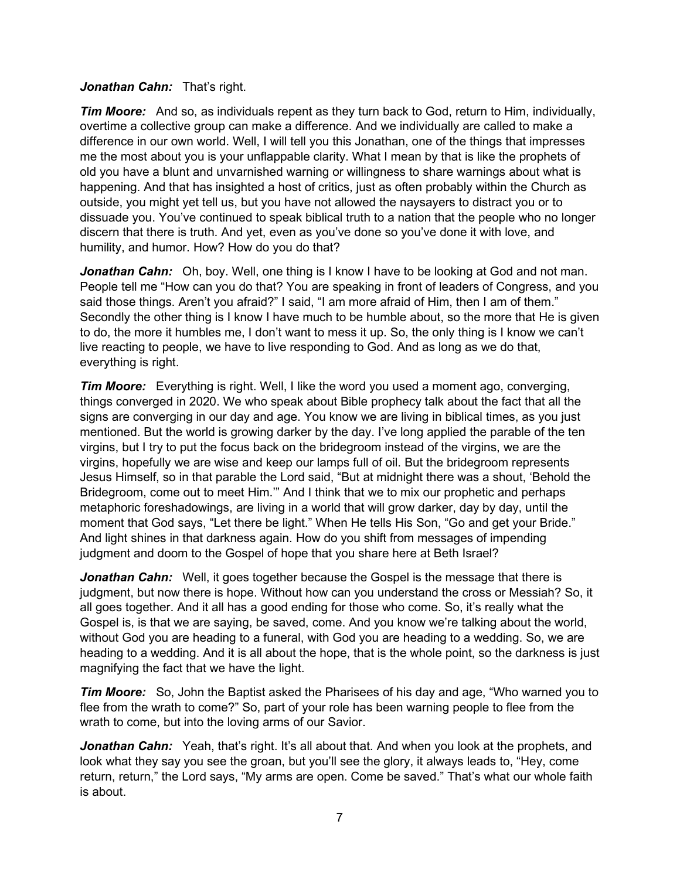#### *Jonathan Cahn:* That's right.

*Tim Moore:* And so, as individuals repent as they turn back to God, return to Him, individually, overtime a collective group can make a difference. And we individually are called to make a difference in our own world. Well, I will tell you this Jonathan, one of the things that impresses me the most about you is your unflappable clarity. What I mean by that is like the prophets of old you have a blunt and unvarnished warning or willingness to share warnings about what is happening. And that has insighted a host of critics, just as often probably within the Church as outside, you might yet tell us, but you have not allowed the naysayers to distract you or to dissuade you. You've continued to speak biblical truth to a nation that the people who no longer discern that there is truth. And yet, even as you've done so you've done it with love, and humility, and humor. How? How do you do that?

*Jonathan Cahn:* Oh, boy. Well, one thing is I know I have to be looking at God and not man. People tell me "How can you do that? You are speaking in front of leaders of Congress, and you said those things. Aren't you afraid?" I said, "I am more afraid of Him, then I am of them." Secondly the other thing is I know I have much to be humble about, so the more that He is given to do, the more it humbles me, I don't want to mess it up. So, the only thing is I know we can't live reacting to people, we have to live responding to God. And as long as we do that, everything is right.

*Tim Moore:* Everything is right. Well, I like the word you used a moment ago, converging, things converged in 2020. We who speak about Bible prophecy talk about the fact that all the signs are converging in our day and age. You know we are living in biblical times, as you just mentioned. But the world is growing darker by the day. I've long applied the parable of the ten virgins, but I try to put the focus back on the bridegroom instead of the virgins, we are the virgins, hopefully we are wise and keep our lamps full of oil. But the bridegroom represents Jesus Himself, so in that parable the Lord said, "But at midnight there was a shout, 'Behold the Bridegroom, come out to meet Him.'" And I think that we to mix our prophetic and perhaps metaphoric foreshadowings, are living in a world that will grow darker, day by day, until the moment that God says, "Let there be light." When He tells His Son, "Go and get your Bride." And light shines in that darkness again. How do you shift from messages of impending judgment and doom to the Gospel of hope that you share here at Beth Israel?

*Jonathan Cahn:* Well, it goes together because the Gospel is the message that there is judgment, but now there is hope. Without how can you understand the cross or Messiah? So, it all goes together. And it all has a good ending for those who come. So, it's really what the Gospel is, is that we are saying, be saved, come. And you know we're talking about the world, without God you are heading to a funeral, with God you are heading to a wedding. So, we are heading to a wedding. And it is all about the hope, that is the whole point, so the darkness is just magnifying the fact that we have the light.

*Tim Moore:* So, John the Baptist asked the Pharisees of his day and age, "Who warned you to flee from the wrath to come?" So, part of your role has been warning people to flee from the wrath to come, but into the loving arms of our Savior.

**Jonathan Cahn:** Yeah, that's right. It's all about that. And when you look at the prophets, and look what they say you see the groan, but you'll see the glory, it always leads to, "Hey, come return, return," the Lord says, "My arms are open. Come be saved." That's what our whole faith is about.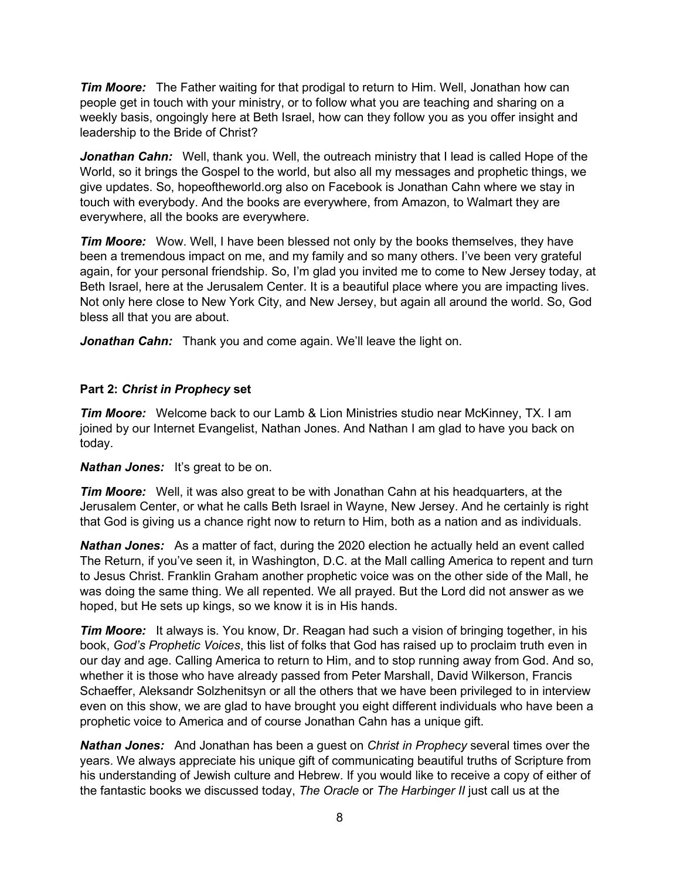*Tim Moore:* The Father waiting for that prodigal to return to Him. Well, Jonathan how can people get in touch with your ministry, or to follow what you are teaching and sharing on a weekly basis, ongoingly here at Beth Israel, how can they follow you as you offer insight and leadership to the Bride of Christ?

*Jonathan Cahn:* Well, thank you. Well, the outreach ministry that I lead is called Hope of the World, so it brings the Gospel to the world, but also all my messages and prophetic things, we give updates. So, hopeoftheworld.org also on Facebook is Jonathan Cahn where we stay in touch with everybody. And the books are everywhere, from Amazon, to Walmart they are everywhere, all the books are everywhere.

*Tim Moore:* Wow. Well, I have been blessed not only by the books themselves, they have been a tremendous impact on me, and my family and so many others. I've been very grateful again, for your personal friendship. So, I'm glad you invited me to come to New Jersey today, at Beth Israel, here at the Jerusalem Center. It is a beautiful place where you are impacting lives. Not only here close to New York City, and New Jersey, but again all around the world. So, God bless all that you are about.

Jonathan Cahn: Thank you and come again. We'll leave the light on.

### **Part 2:** *Christ in Prophecy* **set**

*Tim Moore:* Welcome back to our Lamb & Lion Ministries studio near McKinney, TX. I am joined by our Internet Evangelist, Nathan Jones. And Nathan I am glad to have you back on today.

### **Nathan Jones:** It's great to be on.

*Tim Moore:* Well, it was also great to be with Jonathan Cahn at his headquarters, at the Jerusalem Center, or what he calls Beth Israel in Wayne, New Jersey. And he certainly is right that God is giving us a chance right now to return to Him, both as a nation and as individuals.

*Nathan Jones:* As a matter of fact, during the 2020 election he actually held an event called The Return, if you've seen it, in Washington, D.C. at the Mall calling America to repent and turn to Jesus Christ. Franklin Graham another prophetic voice was on the other side of the Mall, he was doing the same thing. We all repented. We all prayed. But the Lord did not answer as we hoped, but He sets up kings, so we know it is in His hands.

*Tim Moore:* It always is. You know, Dr. Reagan had such a vision of bringing together, in his book, *God's Prophetic Voices*, this list of folks that God has raised up to proclaim truth even in our day and age. Calling America to return to Him, and to stop running away from God. And so, whether it is those who have already passed from Peter Marshall, David Wilkerson, Francis Schaeffer, Aleksandr Solzhenitsyn or all the others that we have been privileged to in interview even on this show, we are glad to have brought you eight different individuals who have been a prophetic voice to America and of course Jonathan Cahn has a unique gift.

*Nathan Jones:* And Jonathan has been a guest on *Christ in Prophecy* several times over the years. We always appreciate his unique gift of communicating beautiful truths of Scripture from his understanding of Jewish culture and Hebrew. If you would like to receive a copy of either of the fantastic books we discussed today, *The Oracle* or *The Harbinger II* just call us at the